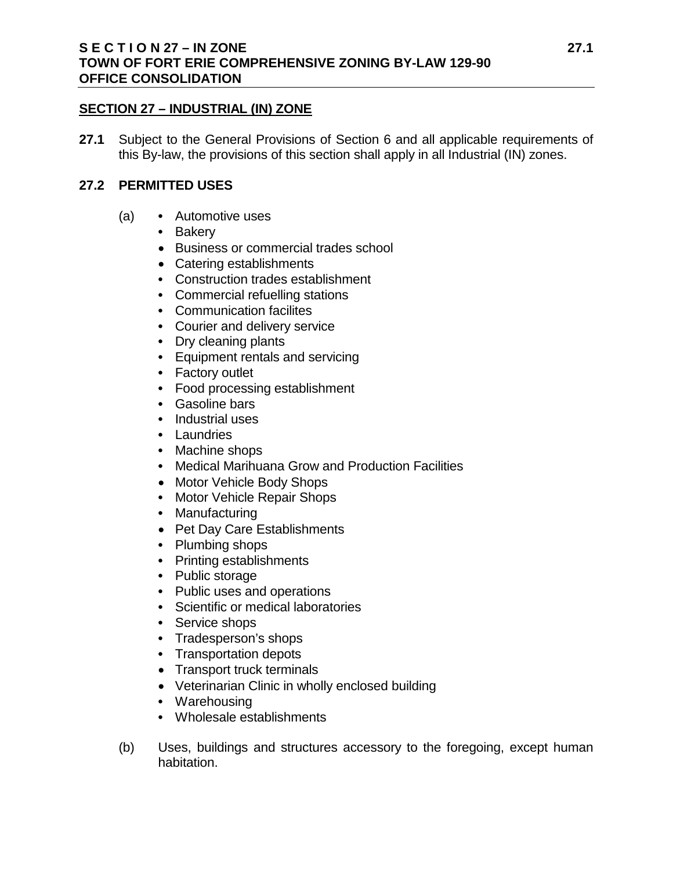#### **SECTION 27 – INDUSTRIAL (IN) ZONE**

**27.1** Subject to the General Provisions of Section 6 and all applicable requirements of this By-law, the provisions of this section shall apply in all Industrial (IN) zones.

### **27.2 PERMITTED USES**

- (a) **•** Automotive uses
	- **•** Bakery
	- Business or commercial trades school
	- Catering establishments
	- **•** Construction trades establishment
	- **•** Commercial refuelling stations
	- **•** Communication facilites
	- **•** Courier and delivery service
	- **•** Dry cleaning plants
	- **•** Equipment rentals and servicing
	- **•** Factory outlet
	- **•** Food processing establishment
	- **•** Gasoline bars
	- **•** Industrial uses
	- **•** Laundries
	- **•** Machine shops
	- **•** Medical Marihuana Grow and Production Facilities
	- Motor Vehicle Body Shops
	- **•** Motor Vehicle Repair Shops
	- **•** Manufacturing
	- Pet Day Care Establishments
	- **•** Plumbing shops
	- **•** Printing establishments
	- **•** Public storage
	- **•** Public uses and operations
	- **•** Scientific or medical laboratories
	- **•** Service shops
	- **•** Tradesperson's shops
	- **•** Transportation depots
	- Transport truck terminals
	- Veterinarian Clinic in wholly enclosed building
	- **•** Warehousing
	- **•** Wholesale establishments
- (b) Uses, buildings and structures accessory to the foregoing, except human habitation.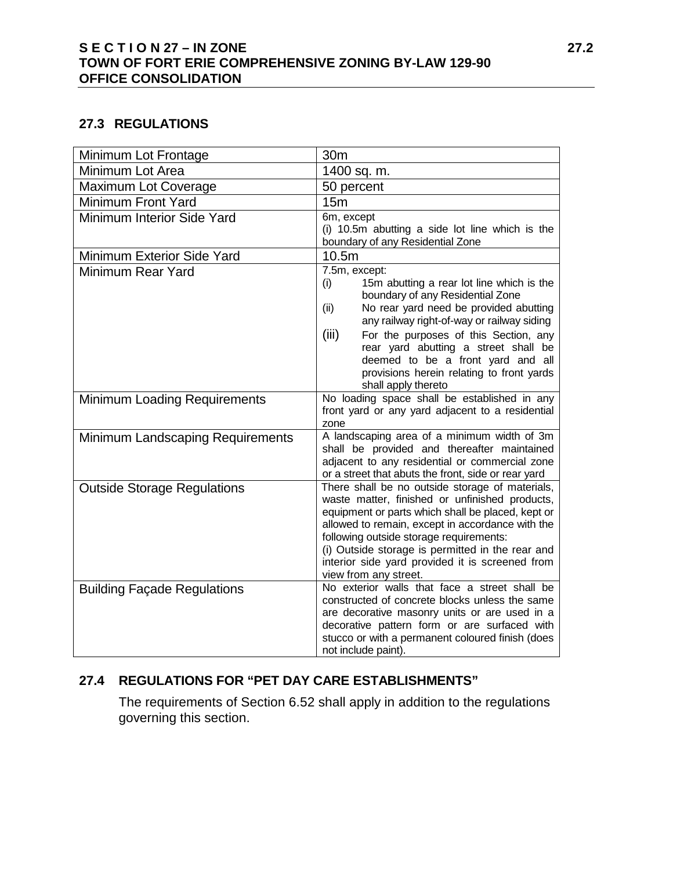## **S E C T I O N 27 – IN ZONE 27.2 TOWN OF FORT ERIE COMPREHENSIVE ZONING BY-LAW 129-90 OFFICE CONSOLIDATION**

## **27.3 REGULATIONS**

| Minimum Lot Frontage                | 30m                                                                                                                                                                                                                                                                                                                                                                                                      |
|-------------------------------------|----------------------------------------------------------------------------------------------------------------------------------------------------------------------------------------------------------------------------------------------------------------------------------------------------------------------------------------------------------------------------------------------------------|
| Minimum Lot Area                    | 1400 sq. m.                                                                                                                                                                                                                                                                                                                                                                                              |
| Maximum Lot Coverage                | 50 percent                                                                                                                                                                                                                                                                                                                                                                                               |
| <b>Minimum Front Yard</b>           | 15m                                                                                                                                                                                                                                                                                                                                                                                                      |
| Minimum Interior Side Yard          | 6m, except<br>(i) 10.5m abutting a side lot line which is the<br>boundary of any Residential Zone                                                                                                                                                                                                                                                                                                        |
| Minimum Exterior Side Yard          | 10.5m                                                                                                                                                                                                                                                                                                                                                                                                    |
| Minimum Rear Yard                   | 7.5m, except:<br>15m abutting a rear lot line which is the<br>(i)<br>boundary of any Residential Zone<br>No rear yard need be provided abutting<br>(ii)<br>any railway right-of-way or railway siding<br>(iii)<br>For the purposes of this Section, any<br>rear yard abutting a street shall be<br>deemed to be a front yard and all<br>provisions herein relating to front yards<br>shall apply thereto |
| <b>Minimum Loading Requirements</b> | No loading space shall be established in any<br>front yard or any yard adjacent to a residential<br>zone                                                                                                                                                                                                                                                                                                 |
| Minimum Landscaping Requirements    | A landscaping area of a minimum width of 3m<br>shall be provided and thereafter maintained<br>adjacent to any residential or commercial zone<br>or a street that abuts the front, side or rear yard                                                                                                                                                                                                      |
| <b>Outside Storage Regulations</b>  | There shall be no outside storage of materials,<br>waste matter, finished or unfinished products,<br>equipment or parts which shall be placed, kept or<br>allowed to remain, except in accordance with the<br>following outside storage requirements:<br>(i) Outside storage is permitted in the rear and<br>interior side yard provided it is screened from<br>view from any street.                    |
| <b>Building Façade Regulations</b>  | No exterior walls that face a street shall be<br>constructed of concrete blocks unless the same<br>are decorative masonry units or are used in a<br>decorative pattern form or are surfaced with<br>stucco or with a permanent coloured finish (does<br>not include paint).                                                                                                                              |

# **27.4 REGULATIONS FOR "PET DAY CARE ESTABLISHMENTS"**

The requirements of Section 6.52 shall apply in addition to the regulations governing this section.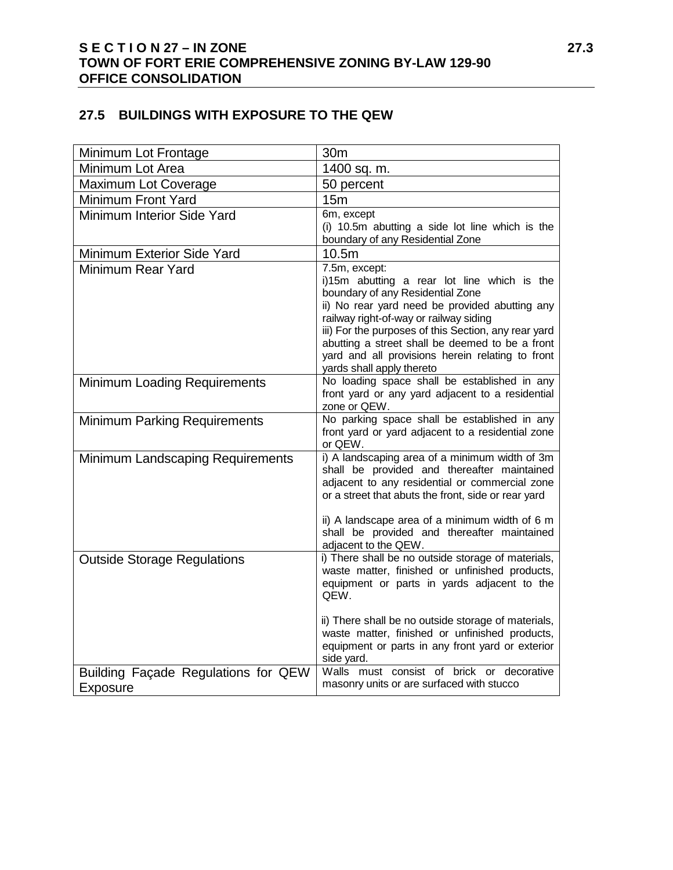## **27.5 BUILDINGS WITH EXPOSURE TO THE QEW**

| Minimum Lot Frontage                                   | 30m                                                                                                                                                                                                                                                                                                                                                                                      |
|--------------------------------------------------------|------------------------------------------------------------------------------------------------------------------------------------------------------------------------------------------------------------------------------------------------------------------------------------------------------------------------------------------------------------------------------------------|
| Minimum Lot Area                                       | 1400 sq. m.                                                                                                                                                                                                                                                                                                                                                                              |
| Maximum Lot Coverage                                   | 50 percent                                                                                                                                                                                                                                                                                                                                                                               |
| Minimum Front Yard                                     | 15m                                                                                                                                                                                                                                                                                                                                                                                      |
| Minimum Interior Side Yard                             | 6m, except<br>(i) 10.5m abutting a side lot line which is the<br>boundary of any Residential Zone                                                                                                                                                                                                                                                                                        |
| Minimum Exterior Side Yard                             | 10.5m                                                                                                                                                                                                                                                                                                                                                                                    |
| <b>Minimum Rear Yard</b>                               | 7.5m, except:<br>i)15m abutting a rear lot line which is the<br>boundary of any Residential Zone<br>ii) No rear yard need be provided abutting any<br>railway right-of-way or railway siding<br>iii) For the purposes of this Section, any rear yard<br>abutting a street shall be deemed to be a front<br>yard and all provisions herein relating to front<br>yards shall apply thereto |
| <b>Minimum Loading Requirements</b>                    | No loading space shall be established in any<br>front yard or any yard adjacent to a residential<br>zone or QEW.                                                                                                                                                                                                                                                                         |
| <b>Minimum Parking Requirements</b>                    | No parking space shall be established in any<br>front yard or yard adjacent to a residential zone<br>or QEW.                                                                                                                                                                                                                                                                             |
| Minimum Landscaping Requirements                       | i) A landscaping area of a minimum width of 3m<br>shall be provided and thereafter maintained<br>adjacent to any residential or commercial zone<br>or a street that abuts the front, side or rear yard<br>ii) A landscape area of a minimum width of 6 m<br>shall be provided and thereafter maintained<br>adjacent to the QEW.                                                          |
| <b>Outside Storage Regulations</b>                     | i) There shall be no outside storage of materials,<br>waste matter, finished or unfinished products,<br>equipment or parts in yards adjacent to the<br>QEW.<br>ii) There shall be no outside storage of materials,                                                                                                                                                                       |
|                                                        | waste matter, finished or unfinished products,<br>equipment or parts in any front yard or exterior<br>side yard.                                                                                                                                                                                                                                                                         |
| Building Façade Regulations for QEW<br><b>Exposure</b> | Walls must consist of brick or decorative<br>masonry units or are surfaced with stucco                                                                                                                                                                                                                                                                                                   |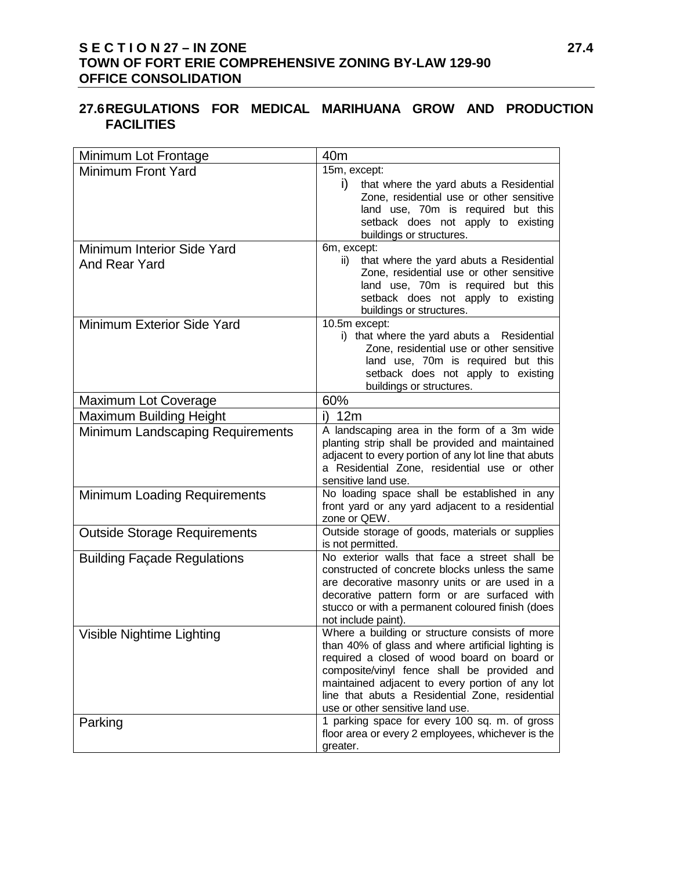## **S E C T I O N 27 – IN ZONE 27.4 TOWN OF FORT ERIE COMPREHENSIVE ZONING BY-LAW 129-90 OFFICE CONSOLIDATION**

### **27.6REGULATIONS FOR MEDICAL MARIHUANA GROW AND PRODUCTION FACILITIES**

| Minimum Lot Frontage                                      | 40 <sub>m</sub>                                                                                                                                                                                                                                                                                                                              |
|-----------------------------------------------------------|----------------------------------------------------------------------------------------------------------------------------------------------------------------------------------------------------------------------------------------------------------------------------------------------------------------------------------------------|
| <b>Minimum Front Yard</b>                                 | 15m, except:<br>i)<br>that where the yard abuts a Residential<br>Zone, residential use or other sensitive<br>land use, 70m is required but this<br>setback does not apply to existing<br>buildings or structures.                                                                                                                            |
| <b>Minimum Interior Side Yard</b><br><b>And Rear Yard</b> | 6m, except:<br>that where the yard abuts a Residential<br>ii)<br>Zone, residential use or other sensitive<br>land use, 70m is required but this<br>setback does not apply to existing<br>buildings or structures.                                                                                                                            |
| <b>Minimum Exterior Side Yard</b>                         | 10.5m except:<br>i) that where the yard abuts a Residential<br>Zone, residential use or other sensitive<br>land use, 70m is required but this<br>setback does not apply to existing<br>buildings or structures.                                                                                                                              |
| <b>Maximum Lot Coverage</b>                               | 60%                                                                                                                                                                                                                                                                                                                                          |
| <b>Maximum Building Height</b>                            | 12m<br>i)                                                                                                                                                                                                                                                                                                                                    |
| Minimum Landscaping Requirements                          | A landscaping area in the form of a 3m wide<br>planting strip shall be provided and maintained<br>adjacent to every portion of any lot line that abuts<br>a Residential Zone, residential use or other<br>sensitive land use.                                                                                                                |
| <b>Minimum Loading Requirements</b>                       | No loading space shall be established in any<br>front yard or any yard adjacent to a residential<br>zone or QEW.                                                                                                                                                                                                                             |
| <b>Outside Storage Requirements</b>                       | Outside storage of goods, materials or supplies<br>is not permitted.                                                                                                                                                                                                                                                                         |
| <b>Building Façade Regulations</b>                        | No exterior walls that face a street shall be<br>constructed of concrete blocks unless the same<br>are decorative masonry units or are used in a<br>decorative pattern form or are surfaced with<br>stucco or with a permanent coloured finish (does<br>not include paint).                                                                  |
| Visible Nightime Lighting                                 | Where a building or structure consists of more<br>than 40% of glass and where artificial lighting is<br>required a closed of wood board on board or<br>composite/vinyl fence shall be provided and<br>maintained adjacent to every portion of any lot<br>line that abuts a Residential Zone, residential<br>use or other sensitive land use. |
| Parking                                                   | 1 parking space for every 100 sq. m. of gross<br>floor area or every 2 employees, whichever is the<br>greater.                                                                                                                                                                                                                               |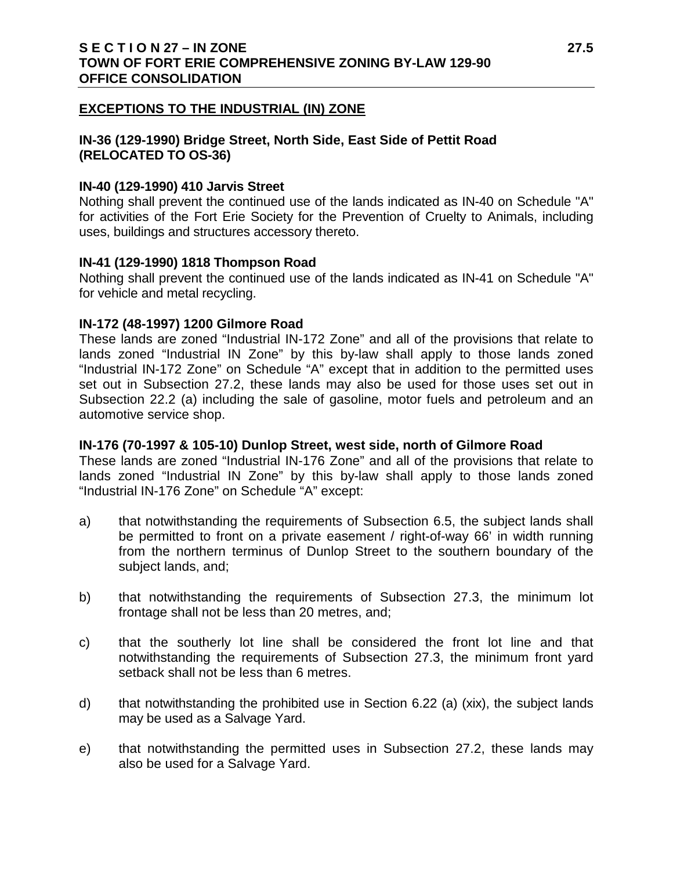#### **EXCEPTIONS TO THE INDUSTRIAL (IN) ZONE**

### **IN-36 (129-1990) Bridge Street, North Side, East Side of Pettit Road (RELOCATED TO OS-36)**

#### **IN-40 (129-1990) 410 Jarvis Street**

Nothing shall prevent the continued use of the lands indicated as IN-40 on Schedule "A" for activities of the Fort Erie Society for the Prevention of Cruelty to Animals, including uses, buildings and structures accessory thereto.

#### **IN-41 (129-1990) 1818 Thompson Road**

Nothing shall prevent the continued use of the lands indicated as IN-41 on Schedule "A" for vehicle and metal recycling.

#### **IN-172 (48-1997) 1200 Gilmore Road**

These lands are zoned "Industrial IN-172 Zone" and all of the provisions that relate to lands zoned "Industrial IN Zone" by this by-law shall apply to those lands zoned "Industrial IN-172 Zone" on Schedule "A" except that in addition to the permitted uses set out in Subsection 27.2, these lands may also be used for those uses set out in Subsection 22.2 (a) including the sale of gasoline, motor fuels and petroleum and an automotive service shop.

#### **IN-176 (70-1997 & 105-10) Dunlop Street, west side, north of Gilmore Road**

These lands are zoned "Industrial IN-176 Zone" and all of the provisions that relate to lands zoned "Industrial IN Zone" by this by-law shall apply to those lands zoned "Industrial IN-176 Zone" on Schedule "A" except:

- a) that notwithstanding the requirements of Subsection 6.5, the subject lands shall be permitted to front on a private easement / right-of-way 66' in width running from the northern terminus of Dunlop Street to the southern boundary of the subject lands, and;
- b) that notwithstanding the requirements of Subsection 27.3, the minimum lot frontage shall not be less than 20 metres, and;
- c) that the southerly lot line shall be considered the front lot line and that notwithstanding the requirements of Subsection 27.3, the minimum front yard setback shall not be less than 6 metres.
- d) that notwithstanding the prohibited use in Section 6.22 (a) (xix), the subject lands may be used as a Salvage Yard.
- e) that notwithstanding the permitted uses in Subsection 27.2, these lands may also be used for a Salvage Yard.